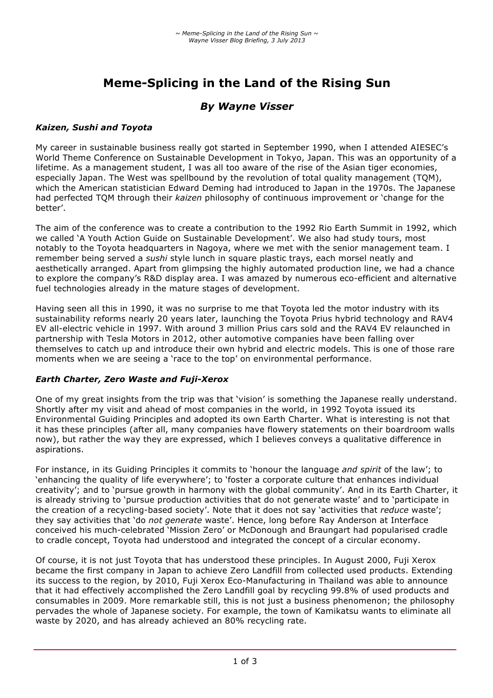# **Meme-Splicing in the Land of the Rising Sun**

## *By Wayne Visser*

#### *Kaizen, Sushi and Toyota*

My career in sustainable business really got started in September 1990, when I attended AIESEC's World Theme Conference on Sustainable Development in Tokyo, Japan. This was an opportunity of a lifetime. As a management student, I was all too aware of the rise of the Asian tiger economies, especially Japan. The West was spellbound by the revolution of total quality management (TQM), which the American statistician Edward Deming had introduced to Japan in the 1970s. The Japanese had perfected TQM through their *kaizen* philosophy of continuous improvement or 'change for the better'.

The aim of the conference was to create a contribution to the 1992 Rio Earth Summit in 1992, which we called 'A Youth Action Guide on Sustainable Development'. We also had study tours, most notably to the Toyota headquarters in Nagoya, where we met with the senior management team. I remember being served a *sushi* style lunch in square plastic trays, each morsel neatly and aesthetically arranged. Apart from glimpsing the highly automated production line, we had a chance to explore the company's R&D display area. I was amazed by numerous eco-efficient and alternative fuel technologies already in the mature stages of development.

Having seen all this in 1990, it was no surprise to me that Toyota led the motor industry with its sustainability reforms nearly 20 years later, launching the Toyota Prius hybrid technology and RAV4 EV all-electric vehicle in 1997. With around 3 million Prius cars sold and the RAV4 EV relaunched in partnership with Tesla Motors in 2012, other automotive companies have been falling over themselves to catch up and introduce their own hybrid and electric models. This is one of those rare moments when we are seeing a 'race to the top' on environmental performance.

#### *Earth Charter, Zero Waste and Fuji-Xerox*

One of my great insights from the trip was that 'vision' is something the Japanese really understand. Shortly after my visit and ahead of most companies in the world, in 1992 Toyota issued its Environmental Guiding Principles and adopted its own Earth Charter. What is interesting is not that it has these principles (after all, many companies have flowery statements on their boardroom walls now), but rather the way they are expressed, which I believes conveys a qualitative difference in aspirations.

For instance, in its Guiding Principles it commits to 'honour the language *and spirit* of the law'; to 'enhancing the quality of life everywhere'; to 'foster a corporate culture that enhances individual creativity'; and to 'pursue growth in harmony with the global community'. And in its Earth Charter, it is already striving to 'pursue production activities that do not generate waste' and to 'participate in the creation of a recycling-based society'. Note that it does not say 'activities that *reduce* waste'; they say activities that 'do *not generate* waste'. Hence, long before Ray Anderson at Interface conceived his much-celebrated 'Mission Zero' or McDonough and Braungart had popularised cradle to cradle concept, Toyota had understood and integrated the concept of a circular economy.

Of course, it is not just Toyota that has understood these principles. In August 2000, Fuji Xerox became the first company in Japan to achieve Zero Landfill from collected used products. Extending its success to the region, by 2010, Fuji Xerox Eco-Manufacturing in Thailand was able to announce that it had effectively accomplished the Zero Landfill goal by recycling 99.8% of used products and consumables in 2009. More remarkable still, this is not just a business phenomenon; the philosophy pervades the whole of Japanese society. For example, the town of Kamikatsu wants to eliminate all waste by 2020, and has already achieved an 80% recycling rate.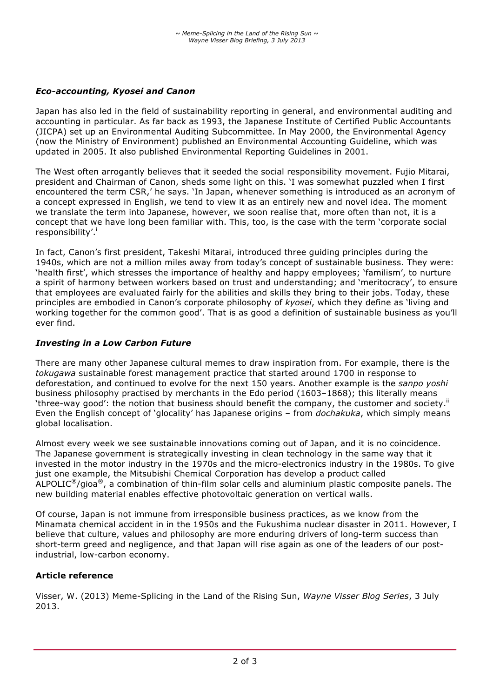### *Eco-accounting, Kyosei and Canon*

Japan has also led in the field of sustainability reporting in general, and environmental auditing and accounting in particular. As far back as 1993, the Japanese Institute of Certified Public Accountants (JICPA) set up an Environmental Auditing Subcommittee. In May 2000, the Environmental Agency (now the Ministry of Environment) published an Environmental Accounting Guideline, which was updated in 2005. It also published Environmental Reporting Guidelines in 2001.

The West often arrogantly believes that it seeded the social responsibility movement. Fujio Mitarai, president and Chairman of Canon, sheds some light on this. 'I was somewhat puzzled when I first encountered the term CSR,' he says. 'In Japan, whenever something is introduced as an acronym of a concept expressed in English, we tend to view it as an entirely new and novel idea. The moment we translate the term into Japanese, however, we soon realise that, more often than not, it is a concept that we have long been familiar with. This, too, is the case with the term 'corporate social responsibility'.<sup>i</sup>

In fact, Canon's first president, Takeshi Mitarai, introduced three guiding principles during the 1940s, which are not a million miles away from today's concept of sustainable business. They were: 'health first', which stresses the importance of healthy and happy employees; 'familism', to nurture a spirit of harmony between workers based on trust and understanding; and 'meritocracy', to ensure that employees are evaluated fairly for the abilities and skills they bring to their jobs. Today, these principles are embodied in Canon's corporate philosophy of *kyosei*, which they define as 'living and working together for the common good'. That is as good a definition of sustainable business as you'll ever find.

#### *Investing in a Low Carbon Future*

There are many other Japanese cultural memes to draw inspiration from. For example, there is the *tokugawa* sustainable forest management practice that started around 1700 in response to deforestation, and continued to evolve for the next 150 years. Another example is the *sanpo yoshi* business philosophy practised by merchants in the Edo period (1603–1868); this literally means 'three-way good': the notion that business should benefit the company, the customer and society.<sup>ii</sup> Even the English concept of 'glocality' has Japanese origins – from *dochakuka*, which simply means global localisation.

Almost every week we see sustainable innovations coming out of Japan, and it is no coincidence. The Japanese government is strategically investing in clean technology in the same way that it invested in the motor industry in the 1970s and the micro-electronics industry in the 1980s. To give just one example, the Mitsubishi Chemical Corporation has develop a product called ALPOLIC®/gioa®, a combination of thin-film solar cells and aluminium plastic composite panels. The new building material enables effective photovoltaic generation on vertical walls.

Of course, Japan is not immune from irresponsible business practices, as we know from the Minamata chemical accident in in the 1950s and the Fukushima nuclear disaster in 2011. However, I believe that culture, values and philosophy are more enduring drivers of long-term success than short-term greed and negligence, and that Japan will rise again as one of the leaders of our postindustrial, low-carbon economy.

#### **Article reference**

Visser, W. (2013) Meme-Splicing in the Land of the Rising Sun, *Wayne Visser Blog Series*, 3 July 2013.